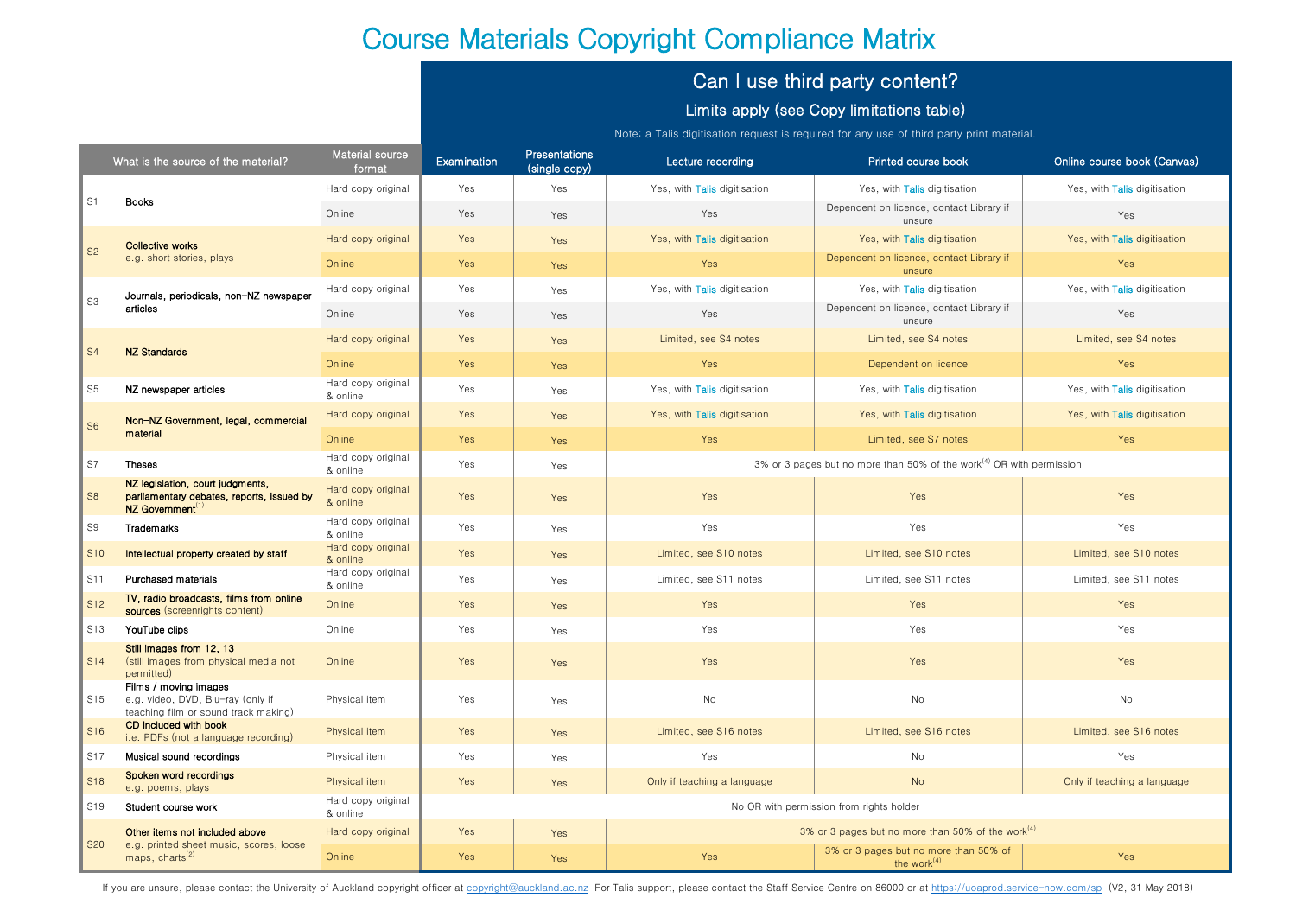# Course Materials Copyright Compliance Matrix

# Can I use third party content?

## Limits apply (see Copy limitations table)

Note: a Talis digitisation request is required for any use of third party print material.

|                             | What is the source of the material?                                                                           | Material source<br>format      | Examination                              | <b>Presentations</b><br>(single copy) | Lecture recording                                                                | Printed course book                                     | Online course book (Canvas)  |
|-----------------------------|---------------------------------------------------------------------------------------------------------------|--------------------------------|------------------------------------------|---------------------------------------|----------------------------------------------------------------------------------|---------------------------------------------------------|------------------------------|
| $\vert$ S1                  | <b>Books</b>                                                                                                  | Hard copy original             | Yes                                      | Yes                                   | Yes, with Talis digitisation                                                     | Yes, with Talis digitisation                            | Yes, with Talis digitisation |
|                             |                                                                                                               | Online                         | Yes                                      | Yes                                   | Yes                                                                              | Dependent on licence, contact Library if<br>unsure      | Yes                          |
| $\vert$ S <sub>2</sub>      | <b>Collective works</b><br>e.g. short stories, plays                                                          | Hard copy original             | Yes                                      | Yes                                   | Yes, with Talis digitisation                                                     | Yes, with Talis digitisation                            | Yes, with Talis digitisation |
|                             |                                                                                                               | Online                         | Yes                                      | Yes                                   | Yes                                                                              | Dependent on licence, contact Library if<br>unsure      | Yes                          |
| $\vert$ S3                  | Journals, periodicals, non-NZ newspaper<br>articles                                                           | Hard copy original             | Yes                                      | Yes                                   | Yes, with Talis digitisation                                                     | Yes, with Talis digitisation                            | Yes, with Talis digitisation |
|                             |                                                                                                               | Online                         | Yes                                      | Yes                                   | Yes                                                                              | Dependent on licence, contact Library if<br>unsure      | Yes                          |
| $\vert$ S4                  | <b>NZ Standards</b>                                                                                           | Hard copy original             | Yes                                      | Yes                                   | Limited, see S4 notes                                                            | Limited, see S4 notes                                   | Limited, see S4 notes        |
|                             |                                                                                                               | Online                         | Yes                                      | Yes                                   | Yes                                                                              | Dependent on licence                                    | Yes                          |
| S5                          | NZ newspaper articles                                                                                         | Hard copy original<br>& online | Yes                                      | Yes                                   | Yes, with Talis digitisation                                                     | Yes, with Talis digitisation                            | Yes, with Talis digitisation |
| $\vert$ S6                  | Non-NZ Government, legal, commercial<br>material                                                              | Hard copy original             | Yes                                      | Yes                                   | Yes, with Talis digitisation                                                     | Yes, with Talis digitisation                            | Yes, with Talis digitisation |
|                             |                                                                                                               | Online                         | Yes                                      | Yes                                   | Yes                                                                              | Limited, see S7 notes                                   | Yes                          |
| S7                          | <b>Theses</b>                                                                                                 | Hard copy original<br>& online | Yes                                      | Yes                                   | 3% or 3 pages but no more than 50% of the work <sup>(4)</sup> OR with permission |                                                         |                              |
| S <sub>8</sub>              | NZ legislation, court judgments,<br>parliamentary debates, reports, issued by<br>NZ Government <sup>(1)</sup> | Hard copy original<br>& online | Yes                                      | Yes                                   | Yes                                                                              | Yes                                                     | Yes                          |
| S9                          | Trademarks                                                                                                    | Hard copy original<br>& online | Yes                                      | Yes                                   | Yes                                                                              | Yes                                                     | Yes                          |
| <b>S10</b>                  | Intellectual property created by staff                                                                        | Hard copy original<br>& online | Yes                                      | Yes                                   | Limited, see S10 notes                                                           | Limited, see S10 notes                                  | Limited, see S10 notes       |
| $ $ S11                     | Purchased materials                                                                                           | Hard copy original<br>& online | Yes                                      | Yes                                   | Limited, see S11 notes                                                           | Limited, see S11 notes                                  | Limited, see S11 notes       |
| $\vert$ S <sub>12</sub>     | TV, radio broadcasts, films from online<br>sources (screenrights content)                                     | Online                         | Yes                                      | Yes                                   | Yes                                                                              | Yes                                                     | Yes                          |
| S13                         | YouTube clips                                                                                                 | Online                         | Yes                                      | Yes                                   | Yes                                                                              | Yes                                                     | Yes                          |
| $\parallel$ S <sub>14</sub> | Still images from 12, 13<br>(still images from physical media not<br>permitted)                               | Online                         | Yes                                      | Yes                                   | Yes                                                                              | Yes                                                     | Yes                          |
| S15                         | Films / moving images<br>e.g. video, DVD, Blu-ray (only if<br>teaching film or sound track making)            | Physical item                  | Yes                                      | Yes                                   | No                                                                               | No                                                      | No                           |
| S <sub>16</sub>             | CD included with book<br>i.e. PDFs (not a language recording)                                                 | Physical item                  | Yes                                      | Yes                                   | Limited, see S16 notes                                                           | Limited, see S16 notes                                  | Limited, see S16 notes       |
| S17                         | Musical sound recordings                                                                                      | Physical item                  | Yes                                      | Yes                                   | Yes                                                                              | No                                                      | Yes                          |
| S <sub>18</sub>             | Spoken word recordings<br>e.g. poems, plays                                                                   | Physical item                  | Yes                                      | Yes                                   | Only if teaching a language                                                      | <b>No</b>                                               | Only if teaching a language  |
| S <sub>19</sub>             | Student course work                                                                                           | Hard copy original<br>& online | No OR with permission from rights holder |                                       |                                                                                  |                                                         |                              |
| <b>S20</b>                  | Other items not included above<br>e.g. printed sheet music, scores, loose<br>maps, charts <sup>(2)</sup>      | Hard copy original             | Yes                                      | Yes                                   | 3% or 3 pages but no more than 50% of the work <sup>(4)</sup>                    |                                                         |                              |
|                             |                                                                                                               | Online                         | Yes                                      | Yes                                   | Yes                                                                              | 3% or 3 pages but no more than 50% of<br>the work $(4)$ | Yes                          |

If you are unsure, please contact the University of Auckland copyright officer at [copyright@auckland.ac.nz](mailto:copyright@auckland.ac.nz) For Talis support, please contact the Staff Service Centre on 86000 or at<https://uoaprod.service-now.com/sp>(V2, 3